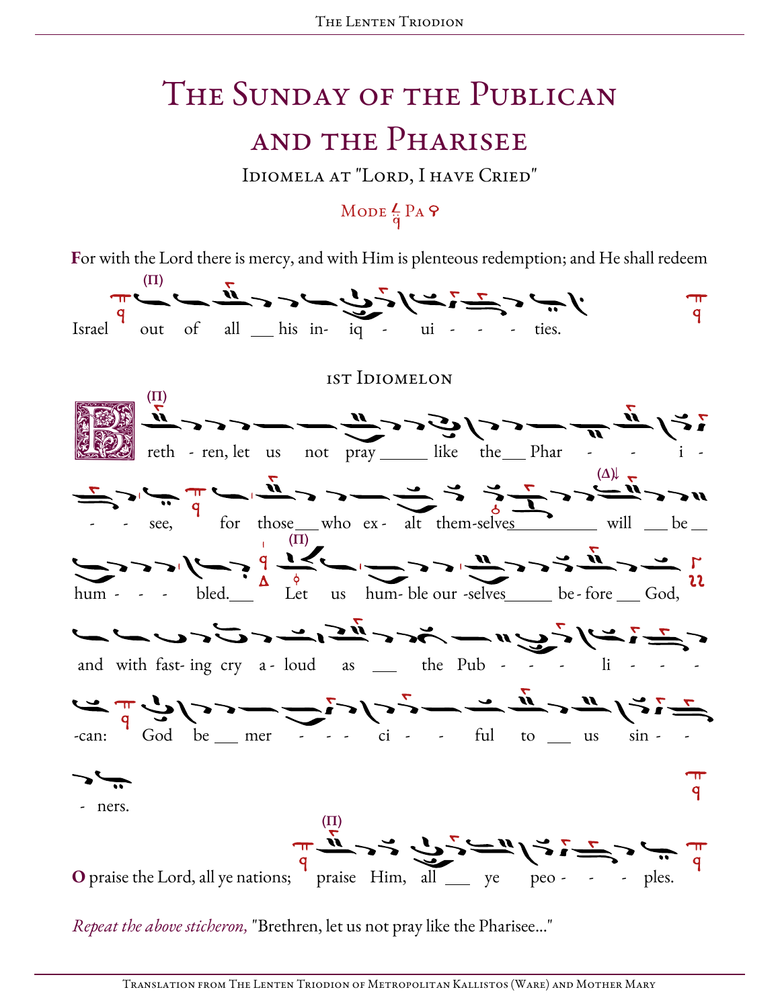## The Sunday of the Publican and the Pharisee

Idiomela at "Lord, I have Cried"

### MODE  $\frac{L}{\dot{q}}$  PA  $\theta$

For with the Lord there is mercy, and with Him is plenteous redemption; and He shall redeem



Repeat the above sticheron, "Brethren, let us not pray like the Pharisee..."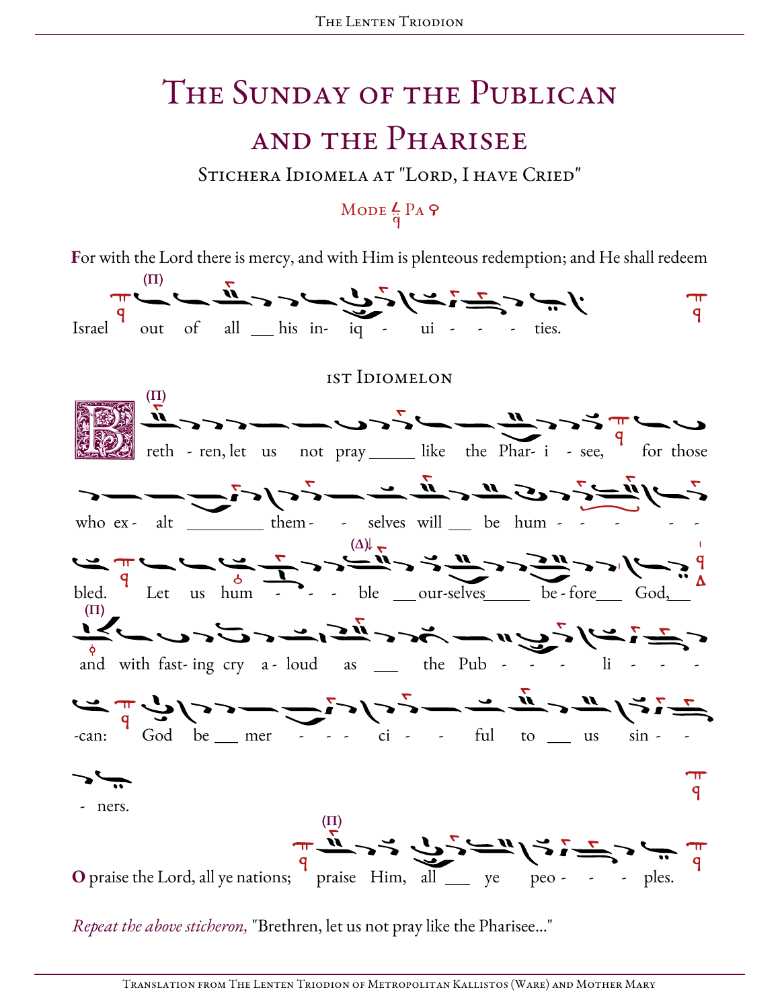# The Sunday of the Publican and the Pharisee

Stichera Idiomela at "Lord, I have Cried"

## MODE  $\frac{L}{q}$  PA  $\varphi$

For with the Lord there is mercy, and with Him is plenteous redemption; and He shall redeem



Repeat the above sticheron, "Brethren, let us not pray like the Pharisee..."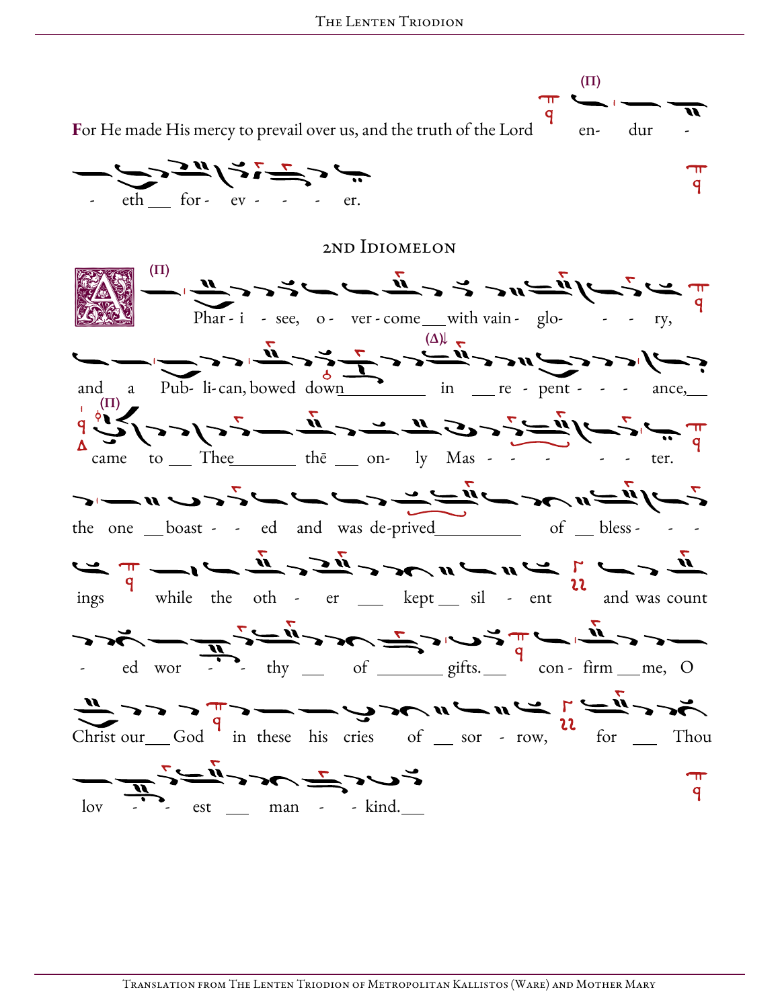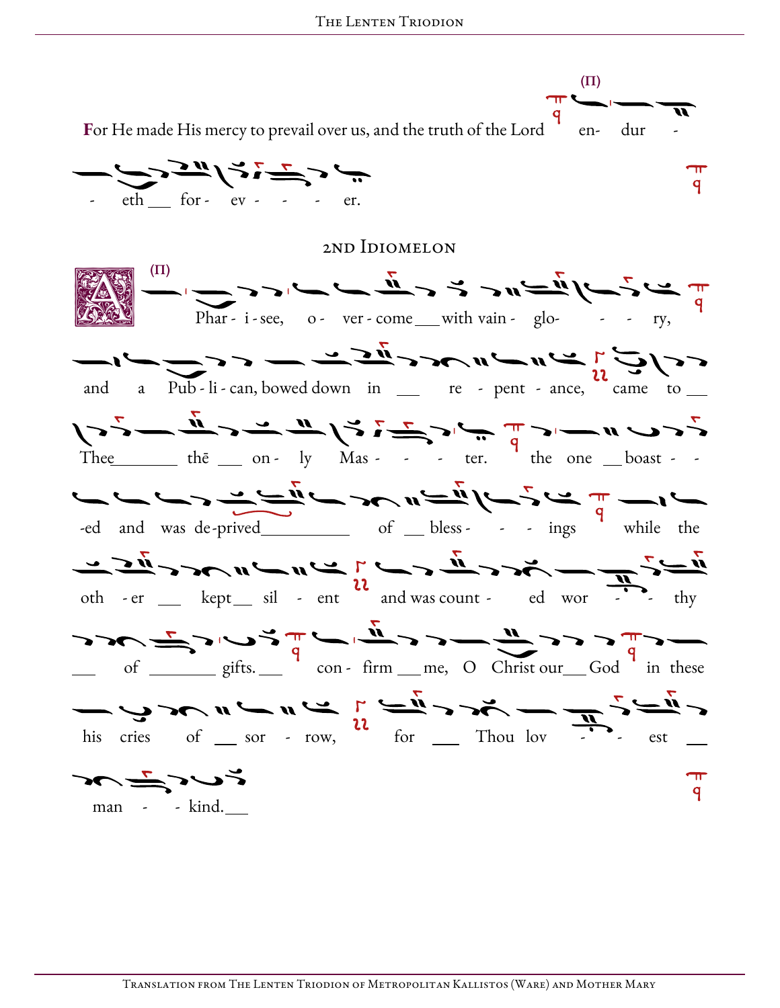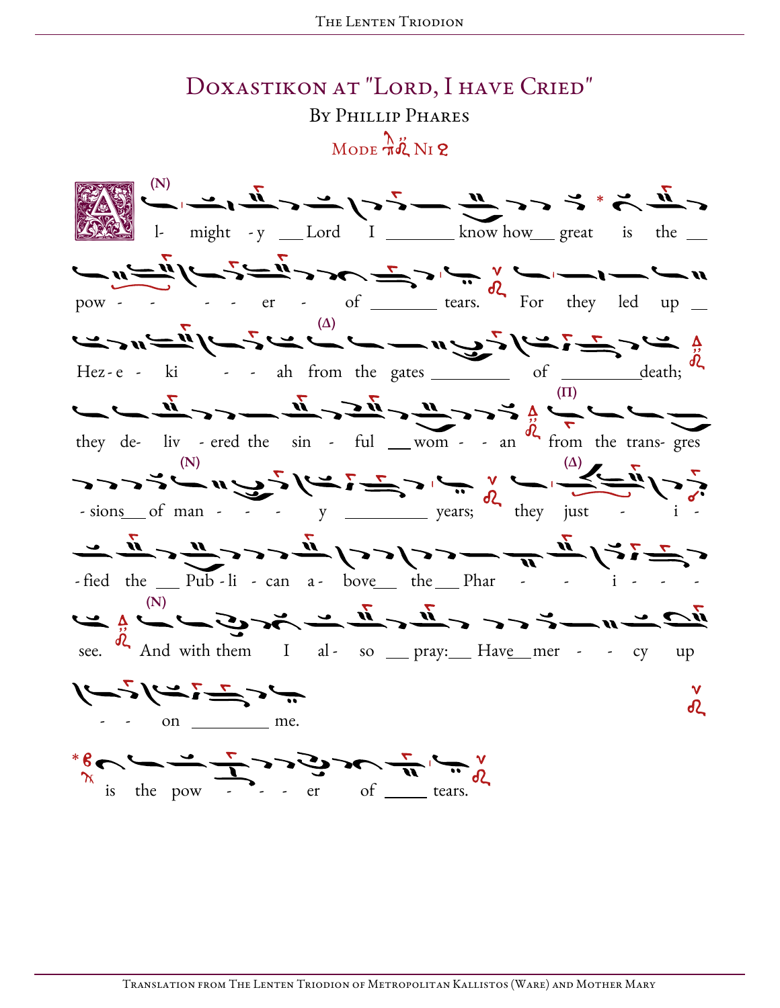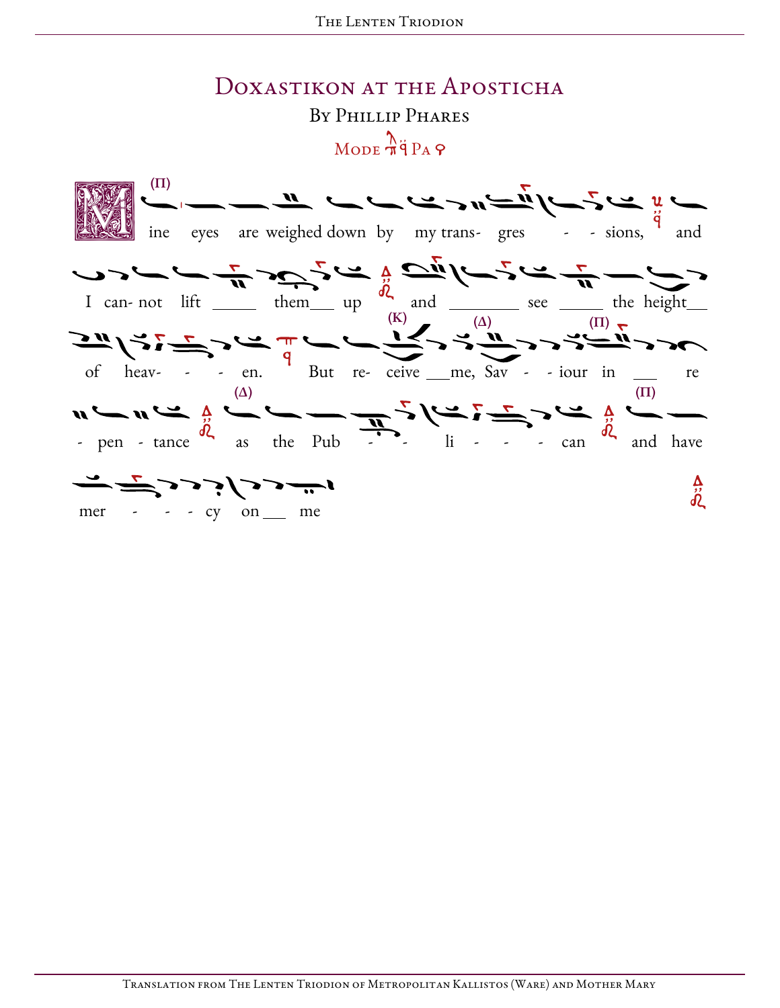#### DOXASTIKON AT THE APOSTICHA BY PHILLIP PHARES  $\bigwedge_{\text{MODE}} \frac{\lambda}{\pi}$ q<sup>2</sup> P<sub>A</sub>  $\varphi$

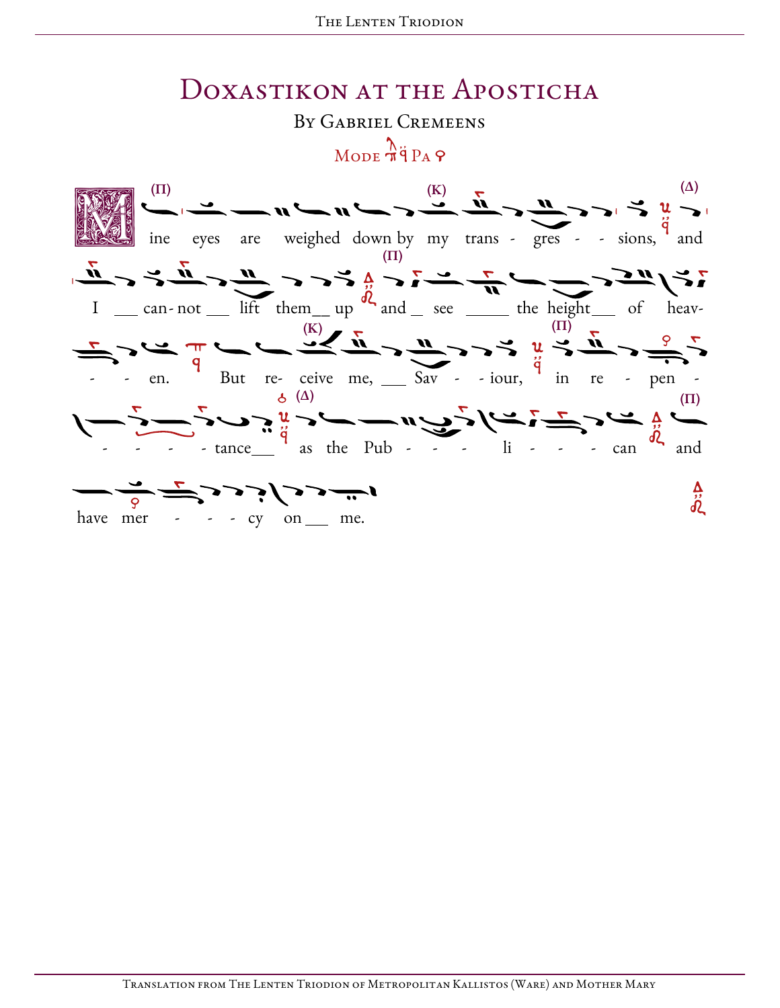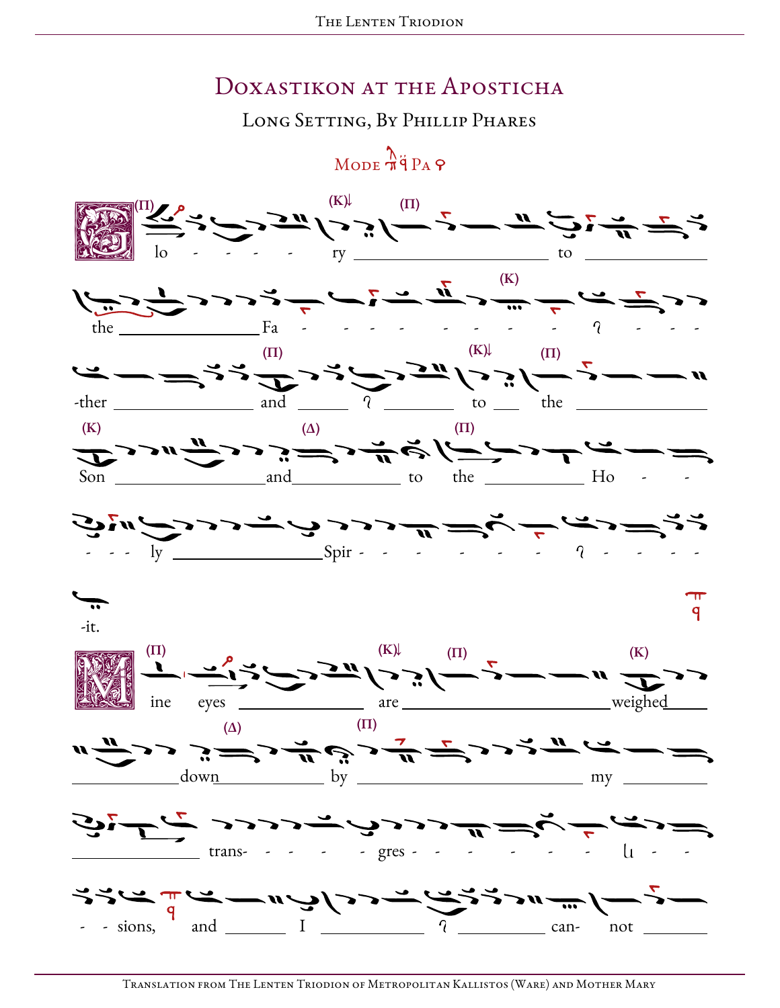#### DOXASTIKON AT THE APOSTICHA

LONG SETTING, BY PHILLIP PHARES

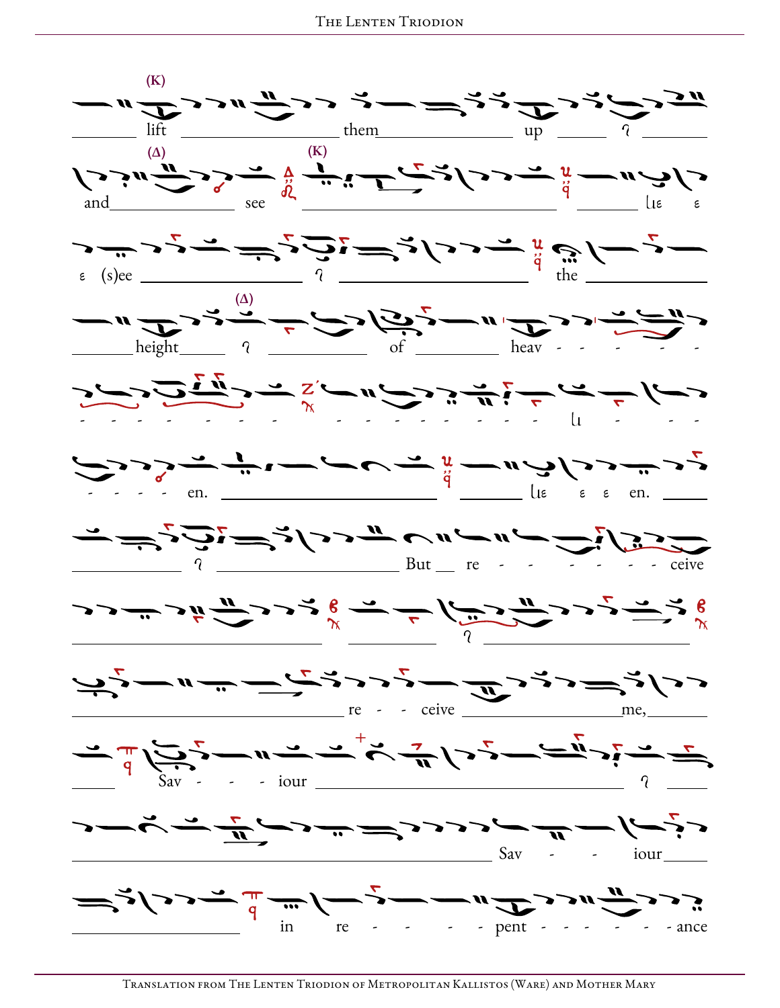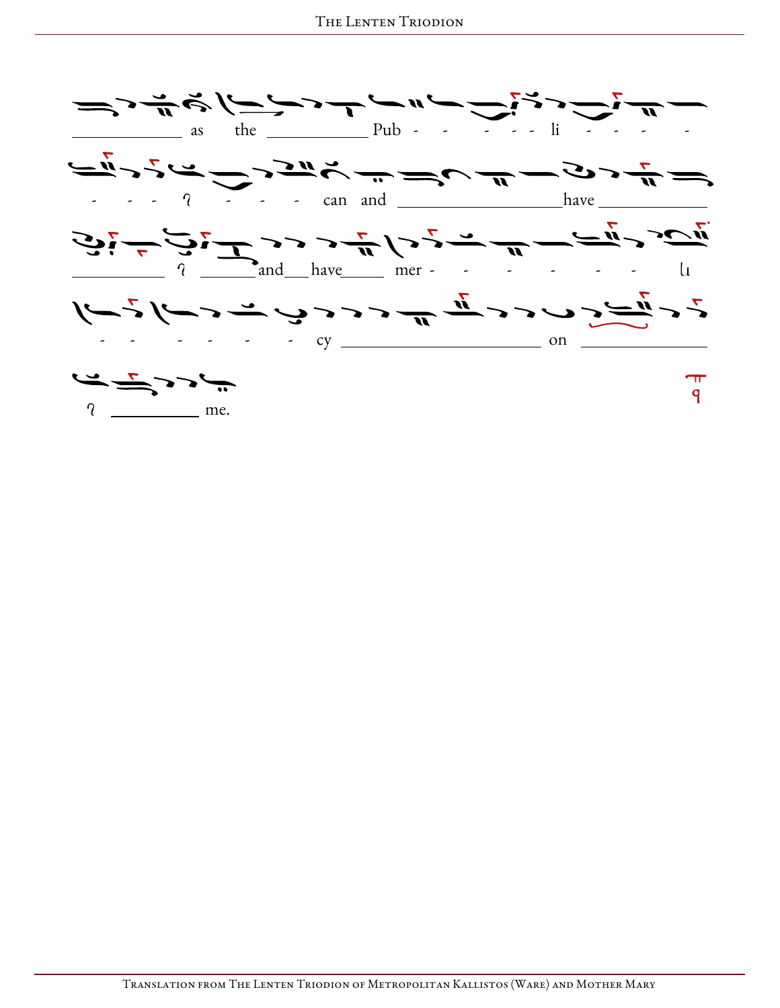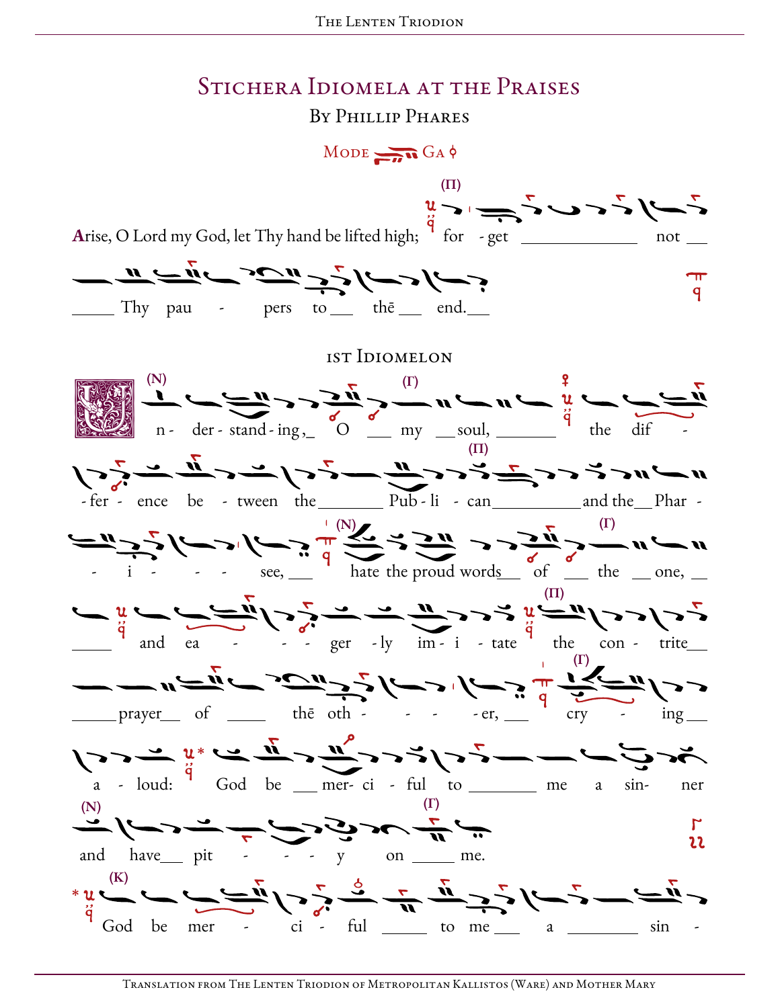#### STICHERA IDIOMELA AT THE PRAISES

BY PHILLIP PHARES

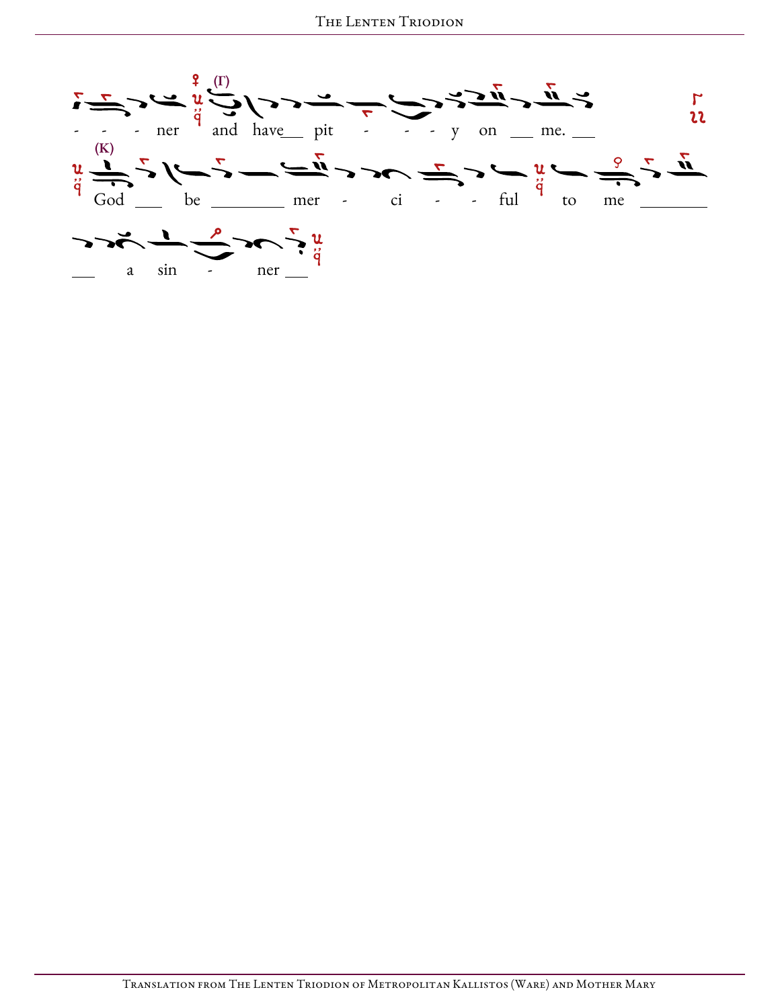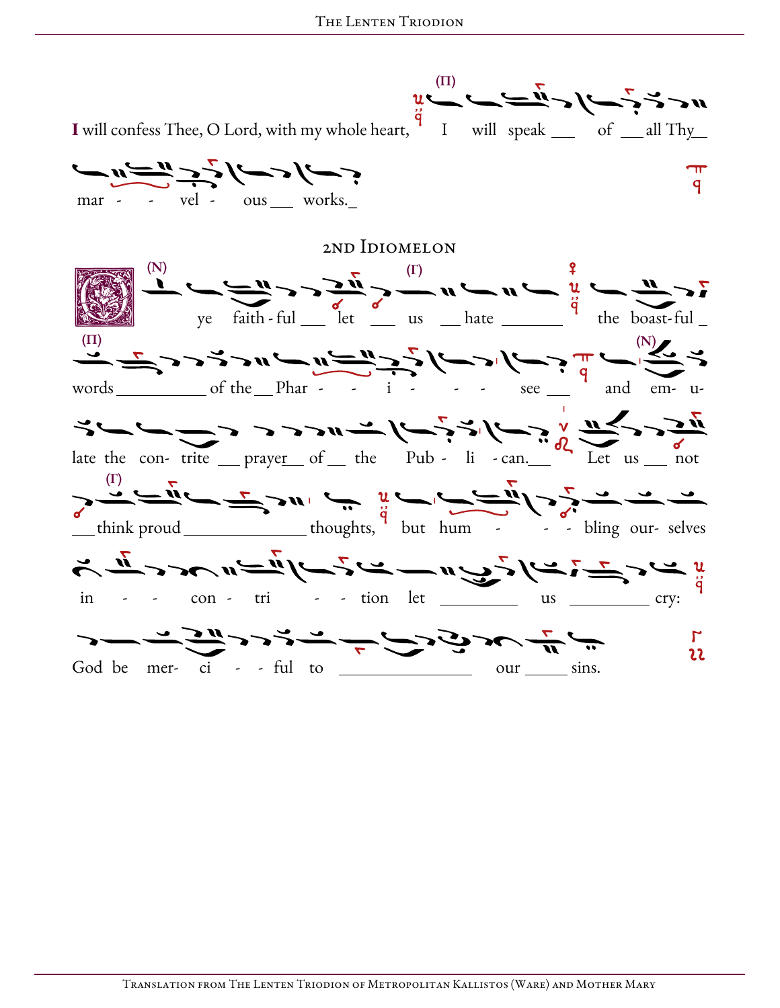